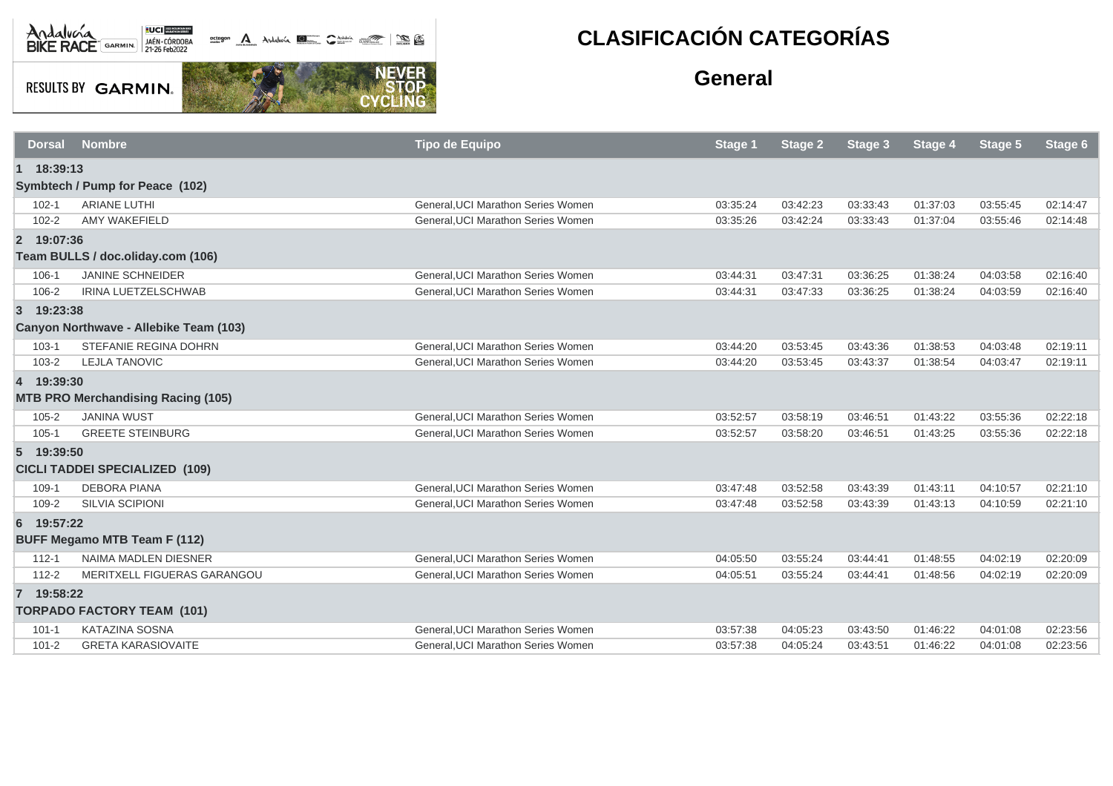

**RESULTS BY GARMIN.** 

**NEVER**<br>STOP

CYCL

## **CLASIFICACIÓN CATEGORÍAS**

## **General**

| <b>Dorsal</b>                         | <b>Nombre</b>                             | <b>Tipo de Equipo</b>              | <b>Stage 1</b> | <b>Stage 2</b> | Stage 3  | Stage 4  | <b>Stage 5</b> | Stage 6  |
|---------------------------------------|-------------------------------------------|------------------------------------|----------------|----------------|----------|----------|----------------|----------|
| 1 18:39:13                            |                                           |                                    |                |                |          |          |                |          |
|                                       | Symbtech / Pump for Peace (102)           |                                    |                |                |          |          |                |          |
| $102 - 1$                             | <b>ARIANE LUTHI</b>                       | General. UCI Marathon Series Women | 03:35:24       | 03:42:23       | 03:33:43 | 01:37:03 | 03:55:45       | 02:14:47 |
| $102 - 2$                             | <b>AMY WAKEFIELD</b>                      | General, UCI Marathon Series Women | 03:35:26       | 03:42:24       | 03:33:43 | 01:37:04 | 03:55:46       | 02:14:48 |
| 2 19:07:36                            |                                           |                                    |                |                |          |          |                |          |
| Team BULLS / doc.oliday.com (106)     |                                           |                                    |                |                |          |          |                |          |
| 106-1                                 | <b>JANINE SCHNEIDER</b>                   | General.UCI Marathon Series Women  | 03:44:31       | 03:47:31       | 03:36:25 | 01:38:24 | 04:03:58       | 02:16:40 |
| 106-2                                 | IRINA LUETZELSCHWAB                       | General, UCI Marathon Series Women | 03:44:31       | 03:47:33       | 03:36:25 | 01:38:24 | 04:03:59       | 02:16:40 |
| 3 19:23:38                            |                                           |                                    |                |                |          |          |                |          |
|                                       | Canyon Northwave - Allebike Team (103)    |                                    |                |                |          |          |                |          |
| $103 - 1$                             | STEFANIE REGINA DOHRN                     | General. UCI Marathon Series Women | 03:44:20       | 03:53:45       | 03:43:36 | 01:38:53 | 04:03:48       | 02:19:11 |
| 103-2                                 | <b>LEJLA TANOVIC</b>                      | General, UCI Marathon Series Women | 03:44:20       | 03:53:45       | 03:43:37 | 01:38:54 | 04:03:47       | 02:19:11 |
| 4 19:39:30                            |                                           |                                    |                |                |          |          |                |          |
|                                       | <b>MTB PRO Merchandising Racing (105)</b> |                                    |                |                |          |          |                |          |
| $105 - 2$                             | <b>JANINA WUST</b>                        | General. UCI Marathon Series Women | 03:52:57       | 03:58:19       | 03:46:51 | 01:43:22 | 03:55:36       | 02:22:18 |
| $105 - 1$                             | <b>GREETE STEINBURG</b>                   | General. UCI Marathon Series Women | 03:52:57       | 03:58:20       | 03:46:51 | 01:43:25 | 03:55:36       | 02:22:18 |
| 5 19:39:50                            |                                           |                                    |                |                |          |          |                |          |
| <b>CICLI TADDEI SPECIALIZED (109)</b> |                                           |                                    |                |                |          |          |                |          |
| 109-1                                 | <b>DEBORA PIANA</b>                       | General, UCI Marathon Series Women | 03:47:48       | 03:52:58       | 03:43:39 | 01:43:11 | 04:10:57       | 02:21:10 |
| 109-2                                 | SILVIA SCIPIONI                           | General, UCI Marathon Series Women | 03:47:48       | 03:52:58       | 03:43:39 | 01:43:13 | 04:10:59       | 02:21:10 |
| 6 19:57:22                            |                                           |                                    |                |                |          |          |                |          |
|                                       | <b>BUFF Megamo MTB Team F (112)</b>       |                                    |                |                |          |          |                |          |
| $112 - 1$                             | <b>NAIMA MADLEN DIESNER</b>               | General. UCI Marathon Series Women | 04:05:50       | 03:55:24       | 03:44:41 | 01:48:55 | 04:02:19       | 02:20:09 |
| $112 - 2$                             | MERITXELL FIGUERAS GARANGOU               | General, UCI Marathon Series Women | 04:05:51       | 03:55:24       | 03:44:41 | 01:48:56 | 04:02:19       | 02:20:09 |
| 7 19:58:22                            |                                           |                                    |                |                |          |          |                |          |
| <b>TORPADO FACTORY TEAM (101)</b>     |                                           |                                    |                |                |          |          |                |          |
| $101 - 1$                             | <b>KATAZINA SOSNA</b>                     | General, UCI Marathon Series Women | 03:57:38       | 04:05:23       | 03:43:50 | 01:46:22 | 04:01:08       | 02:23:56 |
| $101 - 2$                             | <b>GRETA KARASIOVAITE</b>                 | General, UCI Marathon Series Women | 03:57:38       | 04:05:24       | 03:43:51 | 01:46:22 | 04:01:08       | 02:23:56 |